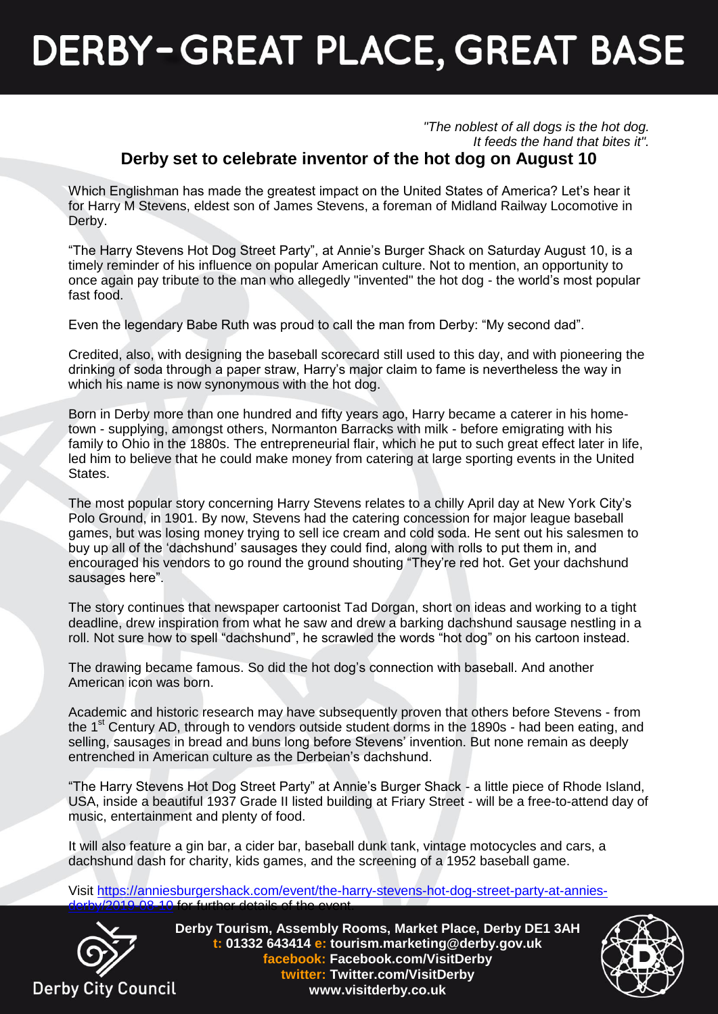## **DERBY-GREAT PLACE, GREAT BASE**

*"The noblest of all dogs is the hot dog. It feeds the hand that bites it".*

## **Derby set to celebrate inventor of the hot dog on August 10**

Which Englishman has made the greatest impact on the United States of America? Let's hear it for Harry M Stevens, eldest son of James Stevens, a foreman of Midland Railway Locomotive in Derby.

"The Harry Stevens Hot Dog Street Party", at Annie's Burger Shack on Saturday August 10, is a timely reminder of his influence on popular American culture. Not to mention, an opportunity to once again pay tribute to the man who allegedly "invented" the hot dog - the world's most popular fast food.

Even the legendary Babe Ruth was proud to call the man from Derby: "My second dad".

Credited, also, with designing the baseball scorecard still used to this day, and with pioneering the drinking of soda through a paper straw, Harry's major claim to fame is nevertheless the way in which his name is now synonymous with the hot dog.

Born in Derby more than one hundred and fifty years ago, Harry became a caterer in his hometown - supplying, amongst others, Normanton Barracks with milk - before emigrating with his family to Ohio in the 1880s. The entrepreneurial flair, which he put to such great effect later in life, led him to believe that he could make money from catering at large sporting events in the United States.

The most popular story concerning Harry Stevens relates to a chilly April day at New York City's Polo Ground, in 1901. By now, Stevens had the catering concession for major league baseball games, but was losing money trying to sell ice cream and cold soda. He sent out his salesmen to buy up all of the 'dachshund' sausages they could find, along with rolls to put them in, and encouraged his vendors to go round the ground shouting "They're red hot. Get your dachshund sausages here".

The story continues that newspaper cartoonist Tad Dorgan, short on ideas and working to a tight deadline, drew inspiration from what he saw and drew a barking dachshund sausage nestling in a roll. Not sure how to spell "dachshund", he scrawled the words "hot dog" on his cartoon instead.

The drawing became famous. So did the hot dog's connection with baseball. And another American icon was born.

Academic and historic research may have subsequently proven that others before Stevens - from the  $1<sup>st</sup>$  Century AD, through to vendors outside student dorms in the 1890s - had been eating, and selling, sausages in bread and buns long before Stevens' invention. But none remain as deeply entrenched in American culture as the Derbeian's dachshund.

"The Harry Stevens Hot Dog Street Party" at Annie's Burger Shack - a little piece of Rhode Island, USA, inside a beautiful 1937 Grade II listed building at Friary Street - will be a free-to-attend day of music, entertainment and plenty of food.

It will also feature a gin bar, a cider bar, baseball dunk tank, vintage motocycles and cars, a dachshund dash for charity, kids games, and the screening of a 1952 baseball game.

Visit [https://anniesburgershack.com/event/the-harry-stevens-hot-dog-street-party-at-annies-](https://anniesburgershack.com/event/the-harry-stevens-hot-dog-street-party-at-annies-derby/2019-08-10)LO 08-10 for further details of the eve



**Derby Tourism, Assembly Rooms, Market Place, Derby DE1 3AH t: 01332 643414 e: tourism.marketing@derby.gov.uk facebook: Facebook.com/VisitDerby twitter: Twitter.com/VisitDerby www.visitderby.co.uk**